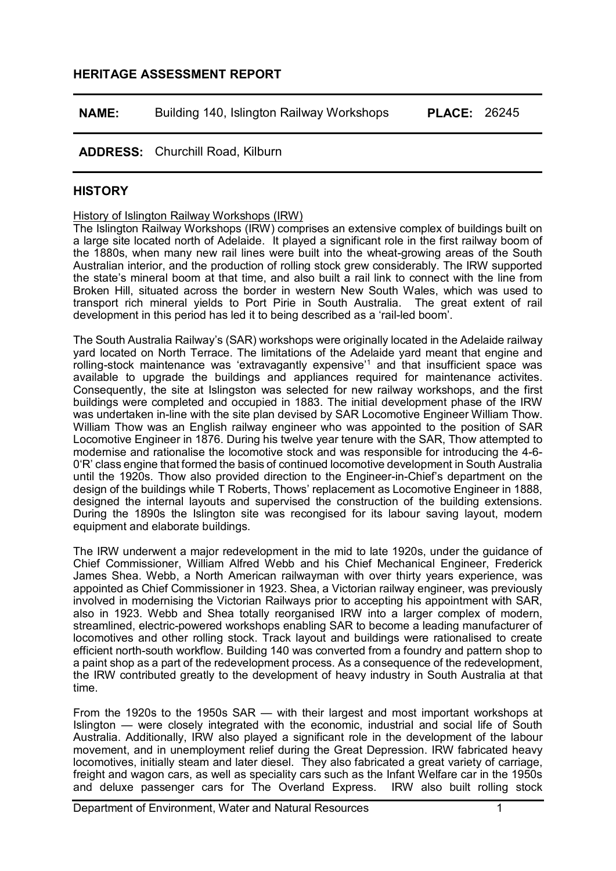# **HERITAGE ASSESSMENT REPORT**

| <b>NAME:</b> | Building 140, Islington Railway Workshops | <b>PLACE: 26245</b> |
|--------------|-------------------------------------------|---------------------|
|--------------|-------------------------------------------|---------------------|

# **ADDRESS:** Churchill Road, Kilburn

## **HISTORY**

#### History of Islington Railway Workshops (IRW)

The Islington Railway Workshops (IRW) comprises an extensive complex of buildings built on a large site located north of Adelaide. It played a significant role in the first railway boom of the 1880s, when many new rail lines were built into the wheat-growing areas of the South Australian interior, and the production of rolling stock grew considerably. The IRW supported the state's mineral boom at that time, and also built a rail link to connect with the line from Broken Hill, situated across the border in western New South Wales, which was used to transport rich mineral yields to Port Pirie in South Australia. The great extent of rail development in this period has led it to being described as a 'rail-led boom'.

The South Australia Railway's (SAR) workshops were originally located in the Adelaide railway yard located on North Terrace. The limitations of the Adelaide yard meant that engine and rolling-stock maintenance was 'extravagantly expensive'[1](#page-12-0) and that insufficient space was available to upgrade the buildings and appliances required for maintenance activites. Consequently, the site at Islingston was selected for new railway workshops, and the first buildings were completed and occupied in 1883. The initial development phase of the IRW was undertaken in-line with the site plan devised by SAR Locomotive Engineer William Thow. William Thow was an English railway engineer who was appointed to the position of SAR Locomotive Engineer in 1876. During his twelve year tenure with the SAR, Thow attempted to modernise and rationalise the locomotive stock and was responsible for introducing the 4-6- 0'R' class engine that formed the basis of continued locomotive development in South Australia until the 1920s. Thow also provided direction to the Engineer-in-Chief's department on the design of the buildings while T Roberts, Thows' replacement as Locomotive Engineer in 1888, designed the internal layouts and supervised the construction of the building extensions. During the 1890s the Islington site was recongised for its labour saving layout, modern equipment and elaborate buildings.

The IRW underwent a major redevelopment in the mid to late 1920s, under the guidance of Chief Commissioner, William Alfred Webb and his Chief Mechanical Engineer, Frederick James Shea. Webb, a North American railwayman with over thirty years experience, was appointed as Chief Commissioner in 1923. Shea, a Victorian railway engineer, was previously involved in modernising the Victorian Railways prior to accepting his appointment with SAR, also in 1923. Webb and Shea totally reorganised IRW into a larger complex of modern, streamlined, electric-powered workshops enabling SAR to become a leading manufacturer of locomotives and other rolling stock. Track layout and buildings were rationalised to create efficient north-south workflow. Building 140 was converted from a foundry and pattern shop to a paint shop as a part of the redevelopment process. As a consequence of the redevelopment, the IRW contributed greatly to the development of heavy industry in South Australia at that time.

From the 1920s to the 1950s SAR — with their largest and most important workshops at Islington — were closely integrated with the economic, industrial and social life of South Australia. Additionally, IRW also played a significant role in the development of the labour movement, and in unemployment relief during the Great Depression. IRW fabricated heavy locomotives, initially steam and later diesel. They also fabricated a great variety of carriage, freight and wagon cars, as well as speciality cars such as the Infant Welfare car in the 1950s and deluxe passenger cars for The Overland Express. IRW also built rolling stock and deluxe passenger cars for The Overland Express.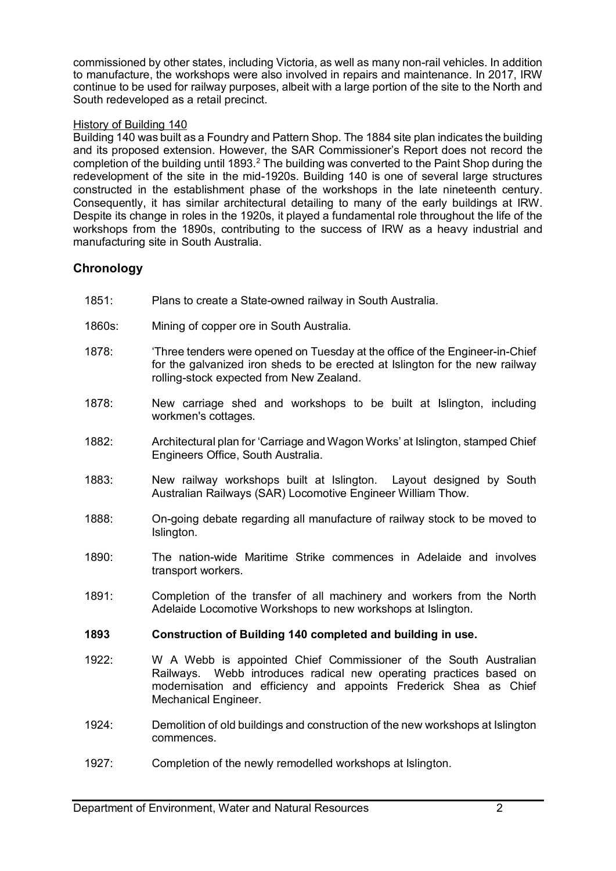commissioned by other states, including Victoria, as well as many non-rail vehicles. In addition to manufacture, the workshops were also involved in repairs and maintenance. In 2017, IRW continue to be used for railway purposes, albeit with a large portion of the site to the North and South redeveloped as a retail precinct.

## History of Building 140

Building 140 was built as a Foundry and Pattern Shop. The 1884 site plan indicates the building and its proposed extension. However, the SAR Commissioner's Report does not record the completion of the building until 1893.<sup>[2](#page-12-1)</sup> The building was converted to the Paint Shop during the redevelopment of the site in the mid-1920s. Building 140 is one of several large structures constructed in the establishment phase of the workshops in the late nineteenth century. Consequently, it has similar architectural detailing to many of the early buildings at IRW. Despite its change in roles in the 1920s, it played a fundamental role throughout the life of the workshops from the 1890s, contributing to the success of IRW as a heavy industrial and manufacturing site in South Australia.

# **Chronology**

- 1851: Plans to create a State-owned railway in South Australia.
- 1860s: Mining of copper ore in South Australia.
- 1878: 'Three tenders were opened on Tuesday at the office of the Engineer-in-Chief for the galvanized iron sheds to be erected at Islington for the new railway rolling-stock expected from New Zealand.
- 1878: New carriage shed and workshops to be built at Islington, including workmen's cottages.
- 1882: Architectural plan for 'Carriage and Wagon Works' at Islington, stamped Chief Engineers Office, South Australia.
- 1883: New railway workshops built at Islington. Layout designed by South Australian Railways (SAR) Locomotive Engineer William Thow.
- 1888: On-going debate regarding all manufacture of railway stock to be moved to Islington.
- 1890: The nation-wide Maritime Strike commences in Adelaide and involves transport workers.
- 1891: Completion of the transfer of all machinery and workers from the North Adelaide Locomotive Workshops to new workshops at Islington.

## **1893 Construction of Building 140 completed and building in use.**

- 1922: W A Webb is appointed Chief Commissioner of the South Australian Railways. Webb introduces radical new operating practices based on modernisation and efficiency and appoints Frederick Shea as Chief Mechanical Engineer.
- 1924: Demolition of old buildings and construction of the new workshops at Islington commences.
- 1927: Completion of the newly remodelled workshops at Islington.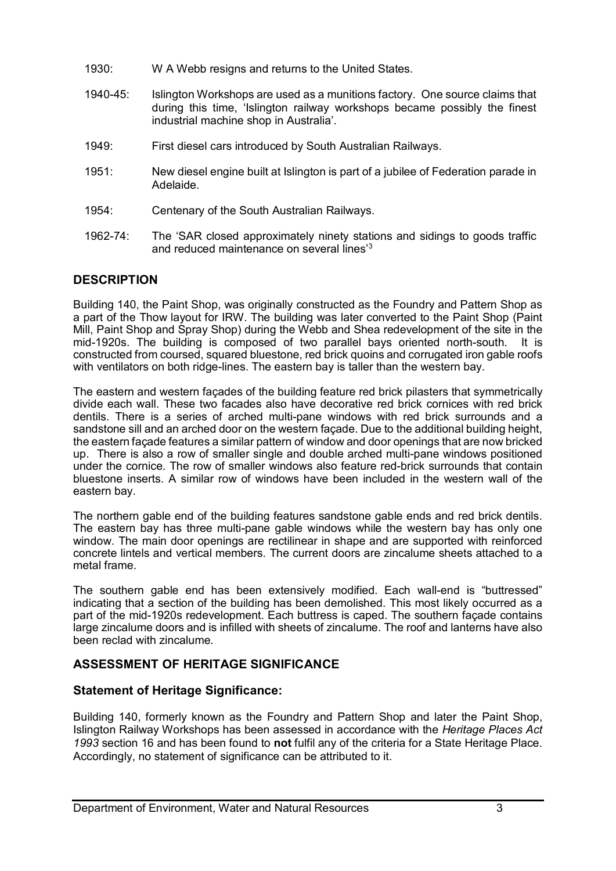- 1930: W A Webb resigns and returns to the United States.
- 1940-45: Islington Workshops are used as a munitions factory. One source claims that during this time, 'Islington railway workshops became possibly the finest industrial machine shop in Australia'.
- 1949: First diesel cars introduced by South Australian Railways.
- 1951: New diesel engine built at Islington is part of a jubilee of Federation parade in Adelaide.
- 1954: Centenary of the South Australian Railways.
- 1962-74: The 'SAR closed approximately ninety stations and sidings to goods traffic and reduced maintenance on several lines['3](#page-12-2)

# **DESCRIPTION**

Building 140, the Paint Shop, was originally constructed as the Foundry and Pattern Shop as a part of the Thow layout for IRW. The building was later converted to the Paint Shop (Paint Mill, Paint Shop and Spray Shop) during the Webb and Shea redevelopment of the site in the mid-1920s. The building is composed of two parallel bays oriented north-south. It is constructed from coursed, squared bluestone, red brick quoins and corrugated iron gable roofs with ventilators on both ridge-lines. The eastern bay is taller than the western bay.

The eastern and western façades of the building feature red brick pilasters that symmetrically divide each wall. These two facades also have decorative red brick cornices with red brick dentils. There is a series of arched multi-pane windows with red brick surrounds and a sandstone sill and an arched door on the western façade. Due to the additional building height, the eastern façade features a similar pattern of window and door openings that are now bricked up. There is also a row of smaller single and double arched multi-pane windows positioned under the cornice. The row of smaller windows also feature red-brick surrounds that contain bluestone inserts. A similar row of windows have been included in the western wall of the eastern bay.

The northern gable end of the building features sandstone gable ends and red brick dentils. The eastern bay has three multi-pane gable windows while the western bay has only one window. The main door openings are rectilinear in shape and are supported with reinforced concrete lintels and vertical members. The current doors are zincalume sheets attached to a metal frame.

The southern gable end has been extensively modified. Each wall-end is "buttressed" indicating that a section of the building has been demolished. This most likely occurred as a part of the mid-1920s redevelopment. Each buttress is caped. The southern façade contains large zincalume doors and is infilled with sheets of zincalume. The roof and lanterns have also been reclad with zincalume.

# **ASSESSMENT OF HERITAGE SIGNIFICANCE**

# **Statement of Heritage Significance:**

Building 140, formerly known as the Foundry and Pattern Shop and later the Paint Shop, Islington Railway Workshops has been assessed in accordance with the *Heritage Places Act 1993* section 16 and has been found to **not** fulfil any of the criteria for a State Heritage Place. Accordingly, no statement of significance can be attributed to it.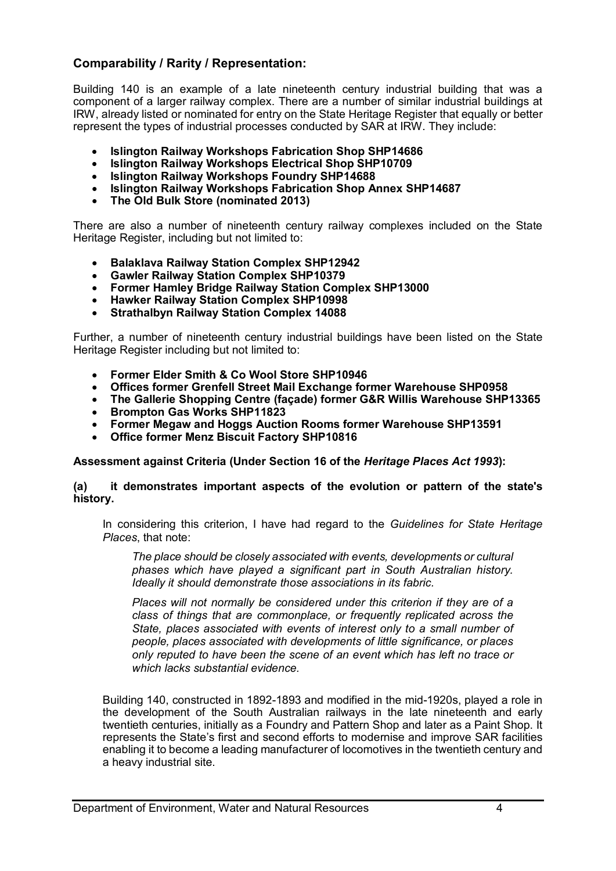# **Comparability / Rarity / Representation:**

Building 140 is an example of a late nineteenth century industrial building that was a component of a larger railway complex. There are a number of similar industrial buildings at IRW, already listed or nominated for entry on the State Heritage Register that equally or better represent the types of industrial processes conducted by SAR at IRW. They include:

- **Islington Railway Workshops Fabrication Shop SHP14686**
- **Islington Railway Workshops Electrical Shop SHP10709**
- **Islington Railway Workshops Foundry SHP14688**
- **Islington Railway Workshops Fabrication Shop Annex SHP14687**
- **The Old Bulk Store (nominated 2013)**

There are also a number of nineteenth century railway complexes included on the State Heritage Register, including but not limited to:

- **Balaklava Railway Station Complex SHP12942**
- **Gawler Railway Station Complex SHP10379**
- **Former Hamley Bridge Railway Station Complex SHP13000**
- **Hawker Railway Station Complex SHP10998**
- **Strathalbyn Railway Station Complex 14088**

Further, a number of nineteenth century industrial buildings have been listed on the State Heritage Register including but not limited to:

- **Former Elder Smith & Co Wool Store SHP10946**
- **Offices former Grenfell Street Mail Exchange former Warehouse SHP0958**
- **The Gallerie Shopping Centre (façade) former G&R Willis Warehouse SHP13365**
- **Brompton Gas Works SHP11823**
- **Former Megaw and Hoggs Auction Rooms former Warehouse SHP13591**
- **Office former Menz Biscuit Factory SHP10816**

**Assessment against Criteria (Under Section 16 of the** *Heritage Places Act 1993***):**

#### **(a) it demonstrates important aspects of the evolution or pattern of the state's history.**

In considering this criterion, I have had regard to the *Guidelines for State Heritage Places*, that note:

*The place should be closely associated with events, developments or cultural phases which have played a significant part in South Australian history. Ideally it should demonstrate those associations in its fabric.*

*Places will not normally be considered under this criterion if they are of a class of things that are commonplace, or frequently replicated across the State, places associated with events of interest only to a small number of people, places associated with developments of little significance, or places only reputed to have been the scene of an event which has left no trace or which lacks substantial evidence.*

Building 140, constructed in 1892-1893 and modified in the mid-1920s, played a role in the development of the South Australian railways in the late nineteenth and early twentieth centuries, initially as a Foundry and Pattern Shop and later as a Paint Shop. It represents the State's first and second efforts to modernise and improve SAR facilities enabling it to become a leading manufacturer of locomotives in the twentieth century and a heavy industrial site.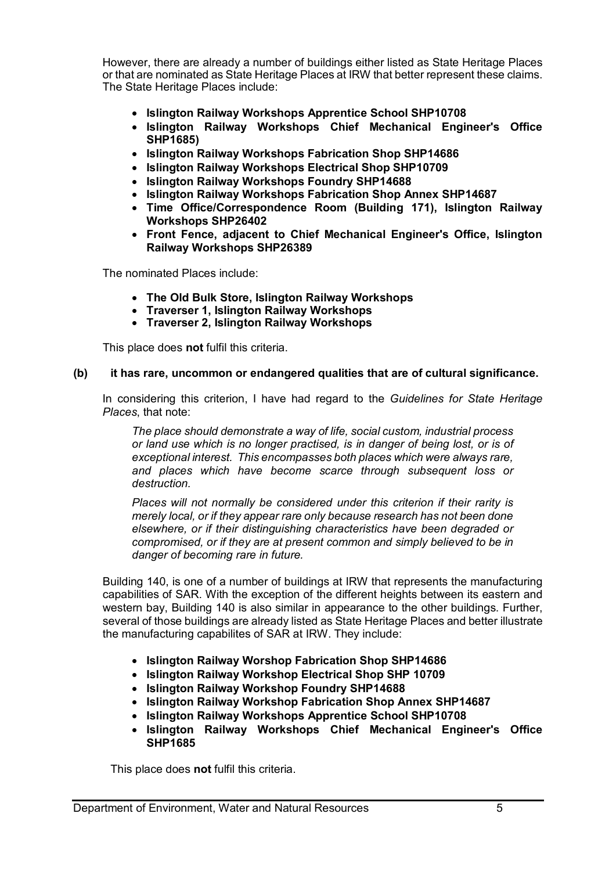However, there are already a number of buildings either listed as State Heritage Places or that are nominated as State Heritage Places at IRW that better represent these claims. The State Heritage Places include:

- **Islington Railway Workshops Apprentice School SHP10708**
- **Islington Railway Workshops Chief Mechanical Engineer's Office SHP1685)**
- **Islington Railway Workshops Fabrication Shop SHP14686**
- **Islington Railway Workshops Electrical Shop SHP10709**
- **Islington Railway Workshops Foundry SHP14688**
- **Islington Railway Workshops Fabrication Shop Annex SHP14687**
- **Time Office/Correspondence Room (Building 171), Islington Railway Workshops SHP26402**
- **Front Fence, adjacent to Chief Mechanical Engineer's Office, Islington Railway Workshops SHP26389**

The nominated Places include:

- **The Old Bulk Store, Islington Railway Workshops**
- **Traverser 1, Islington Railway Workshops**
- **Traverser 2, Islington Railway Workshops**

This place does **not** fulfil this criteria.

#### **(b) it has rare, uncommon or endangered qualities that are of cultural significance.**

In considering this criterion, I have had regard to the *Guidelines for State Heritage Places*, that note:

*The place should demonstrate a way of life, social custom, industrial process or land use which is no longer practised, is in danger of being lost, or is of exceptional interest. This encompasses both places which were always rare, and places which have become scarce through subsequent loss or destruction.*

*Places will not normally be considered under this criterion if their rarity is merely local, or if they appear rare only because research has not been done elsewhere, or if their distinguishing characteristics have been degraded or compromised, or if they are at present common and simply believed to be in danger of becoming rare in future.*

Building 140, is one of a number of buildings at IRW that represents the manufacturing capabilities of SAR. With the exception of the different heights between its eastern and western bay, Building 140 is also similar in appearance to the other buildings. Further, several of those buildings are already listed as State Heritage Places and better illustrate the manufacturing capabilites of SAR at IRW. They include:

- **Islington Railway Worshop Fabrication Shop SHP14686**
- **Islington Railway Workshop Electrical Shop SHP 10709**
- **Islington Railway Workshop Foundry SHP14688**
- **Islington Railway Workshop Fabrication Shop Annex SHP14687**
- **Islington Railway Workshops Apprentice School SHP10708**
- **Islington Railway Workshops Chief Mechanical Engineer's Office SHP1685**

This place does **not** fulfil this criteria.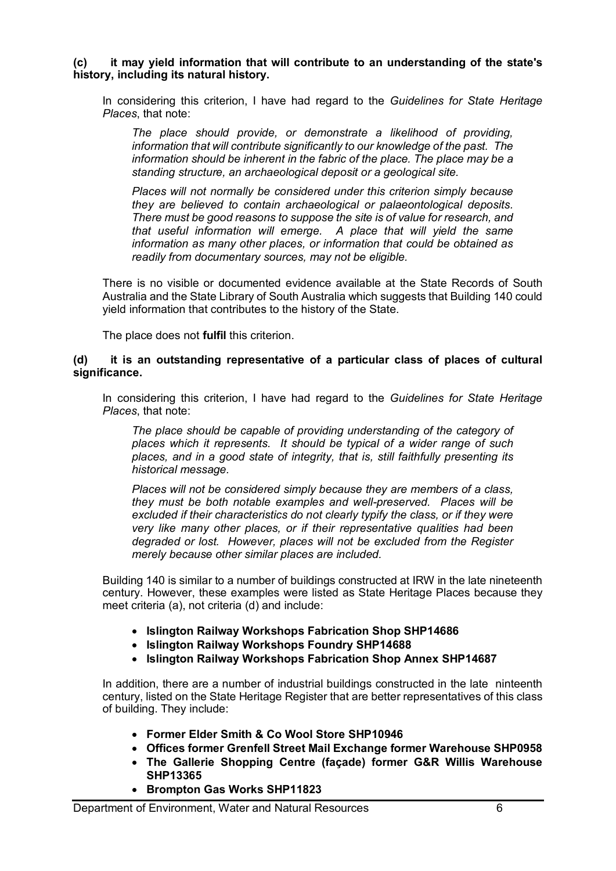**(c) it may yield information that will contribute to an understanding of the state's history, including its natural history.**

In considering this criterion, I have had regard to the *Guidelines for State Heritage Places*, that note:

*The place should provide, or demonstrate a likelihood of providing, information that will contribute significantly to our knowledge of the past. The information should be inherent in the fabric of the place. The place may be a standing structure, an archaeological deposit or a geological site.*

*Places will not normally be considered under this criterion simply because they are believed to contain archaeological or palaeontological deposits. There must be good reasons to suppose the site is of value for research, and that useful information will emerge. A place that will yield the same information as many other places, or information that could be obtained as readily from documentary sources, may not be eligible.*

There is no visible or documented evidence available at the State Records of South Australia and the State Library of South Australia which suggests that Building 140 could yield information that contributes to the history of the State.

The place does not **fulfil** this criterion.

### **(d) it is an outstanding representative of a particular class of places of cultural significance.**

In considering this criterion, I have had regard to the *Guidelines for State Heritage Places*, that note:

*The place should be capable of providing understanding of the category of places which it represents. It should be typical of a wider range of such places, and in a good state of integrity, that is, still faithfully presenting its historical message.*

*Places will not be considered simply because they are members of a class, they must be both notable examples and well-preserved. Places will be excluded if their characteristics do not clearly typify the class, or if they were very like many other places, or if their representative qualities had been degraded or lost. However, places will not be excluded from the Register merely because other similar places are included.*

Building 140 is similar to a number of buildings constructed at IRW in the late nineteenth century. However, these examples were listed as State Heritage Places because they meet criteria (a), not criteria (d) and include:

- **Islington Railway Workshops Fabrication Shop SHP14686**
- **Islington Railway Workshops Foundry SHP14688**
- **Islington Railway Workshops Fabrication Shop Annex SHP14687**

In addition, there are a number of industrial buildings constructed in the late ninteenth century, listed on the State Heritage Register that are better representatives of this class of building. They include:

- **Former Elder Smith & Co Wool Store SHP10946**
- **Offices former Grenfell Street Mail Exchange former Warehouse SHP0958**
- **The Gallerie Shopping Centre (façade) former G&R Willis Warehouse SHP13365**
- **Brompton Gas Works SHP11823**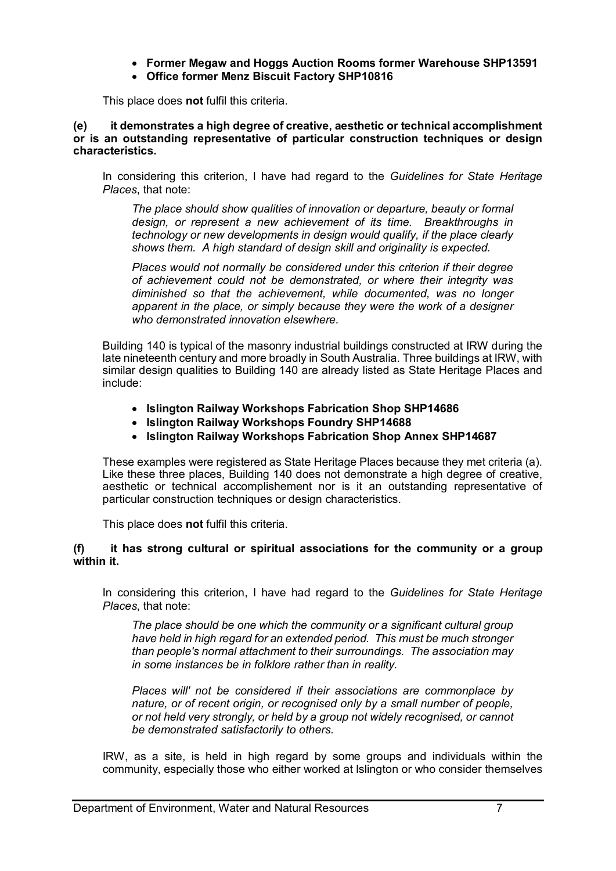- **Former Megaw and Hoggs Auction Rooms former Warehouse SHP13591**
- **Office former Menz Biscuit Factory SHP10816**

This place does **not** fulfil this criteria.

#### **(e) it demonstrates a high degree of creative, aesthetic or technical accomplishment or is an outstanding representative of particular construction techniques or design characteristics.**

In considering this criterion, I have had regard to the *Guidelines for State Heritage Places*, that note:

*The place should show qualities of innovation or departure, beauty or formal design, or represent a new achievement of its time. Breakthroughs in technology or new developments in design would qualify, if the place clearly shows them. A high standard of design skill and originality is expected.*

*Places would not normally be considered under this criterion if their degree of achievement could not be demonstrated, or where their integrity was diminished so that the achievement, while documented, was no longer apparent in the place, or simply because they were the work of a designer who demonstrated innovation elsewhere.*

Building 140 is typical of the masonry industrial buildings constructed at IRW during the late nineteenth century and more broadly in South Australia. Three buildings at IRW, with similar design qualities to Building 140 are already listed as State Heritage Places and include:

- **Islington Railway Workshops Fabrication Shop SHP14686**
- **Islington Railway Workshops Foundry SHP14688**
- **Islington Railway Workshops Fabrication Shop Annex SHP14687**

These examples were registered as State Heritage Places because they met criteria (a). Like these three places, Building 140 does not demonstrate a high degree of creative, aesthetic or technical accomplishement nor is it an outstanding representative of particular construction techniques or design characteristics.

This place does **not** fulfil this criteria.

# **(f) it has strong cultural or spiritual associations for the community or a group within it.**

In considering this criterion, I have had regard to the *Guidelines for State Heritage Places*, that note:

*The place should be one which the community or a significant cultural group have held in high regard for an extended period. This must be much stronger than people's normal attachment to their surroundings. The association may in some instances be in folklore rather than in reality.*

*Places will' not be considered if their associations are commonplace by nature, or of recent origin, or recognised only by a small number of people, or not held very strongly, or held by a group not widely recognised, or cannot be demonstrated satisfactorily to others.*

IRW, as a site, is held in high regard by some groups and individuals within the community, especially those who either worked at Islington or who consider themselves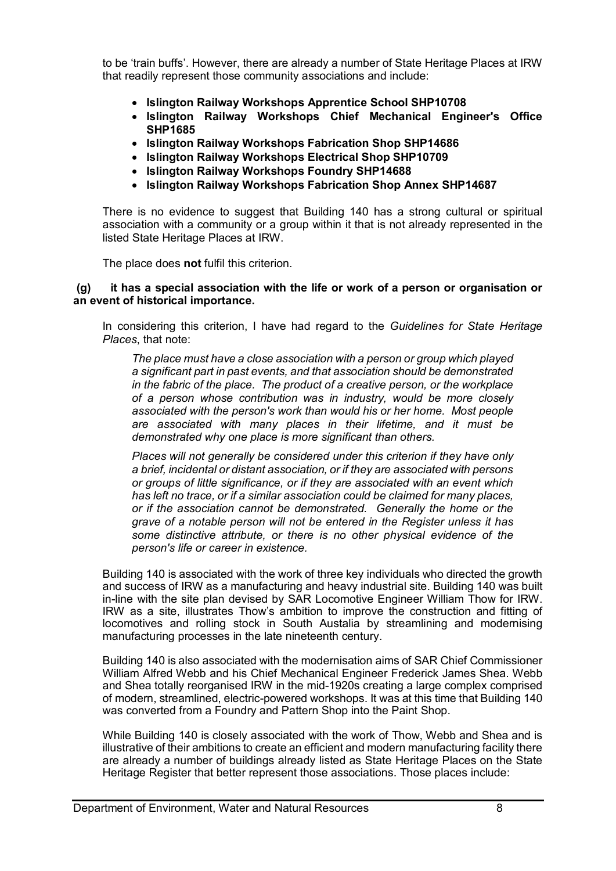to be 'train buffs'. However, there are already a number of State Heritage Places at IRW that readily represent those community associations and include:

- **Islington Railway Workshops Apprentice School SHP10708**
- **Islington Railway Workshops Chief Mechanical Engineer's Office SHP1685**
- **Islington Railway Workshops Fabrication Shop SHP14686**
- **Islington Railway Workshops Electrical Shop SHP10709**
- **Islington Railway Workshops Foundry SHP14688**
- **Islington Railway Workshops Fabrication Shop Annex SHP14687**

There is no evidence to suggest that Building 140 has a strong cultural or spiritual association with a community or a group within it that is not already represented in the listed State Heritage Places at IRW.

The place does **not** fulfil this criterion.

#### **(g) it has a special association with the life or work of a person or organisation or an event of historical importance.**

In considering this criterion, I have had regard to the *Guidelines for State Heritage Places*, that note:

*The place must have a close association with a person or group which played a significant part in past events, and that association should be demonstrated in the fabric of the place. The product of a creative person, or the workplace of a person whose contribution was in industry, would be more closely associated with the person's work than would his or her home. Most people are associated with many places in their lifetime, and it must be demonstrated why one place is more significant than others.*

*Places will not generally be considered under this criterion if they have only a brief, incidental or distant association, or if they are associated with persons or groups of little significance, or if they are associated with an event which has left no trace, or if a similar association could be claimed for many places, or if the association cannot be demonstrated. Generally the home or the grave of a notable person will not be entered in the Register unless it has some distinctive attribute, or there is no other physical evidence of the person's life or career in existence.*

Building 140 is associated with the work of three key individuals who directed the growth and success of IRW as a manufacturing and heavy industrial site. Building 140 was built in-line with the site plan devised by SAR Locomotive Engineer William Thow for IRW. IRW as a site, illustrates Thow's ambition to improve the construction and fitting of locomotives and rolling stock in South Austalia by streamlining and modernising manufacturing processes in the late nineteenth century.

Building 140 is also associated with the modernisation aims of SAR Chief Commissioner William Alfred Webb and his Chief Mechanical Engineer Frederick James Shea. Webb and Shea totally reorganised IRW in the mid-1920s creating a large complex comprised of modern, streamlined, electric-powered workshops. It was at this time that Building 140 was converted from a Foundry and Pattern Shop into the Paint Shop.

While Building 140 is closely associated with the work of Thow, Webb and Shea and is illustrative of their ambitions to create an efficient and modern manufacturing facility there are already a number of buildings already listed as State Heritage Places on the State Heritage Register that better represent those associations. Those places include: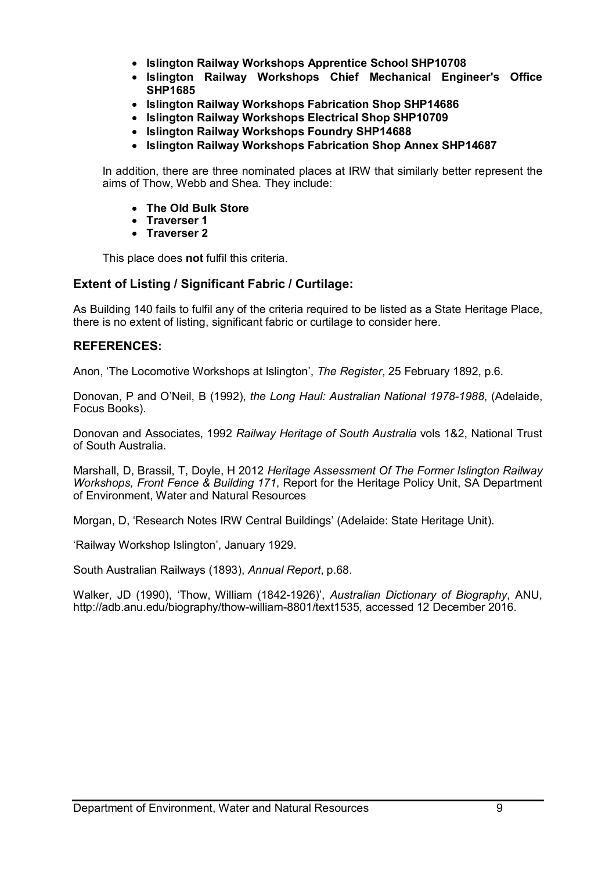- **Islington Railway Workshops Apprentice School SHP10708**
- **Islington Railway Workshops Chief Mechanical Engineer's Office SHP1685**
- **Islington Railway Workshops Fabrication Shop SHP14686**
- **Islington Railway Workshops Electrical Shop SHP10709**
- **Islington Railway Workshops Foundry SHP14688**
- **Islington Railway Workshops Fabrication Shop Annex SHP14687**

In addition, there are three nominated places at IRW that similarly better represent the aims of Thow, Webb and Shea. They include:

- **The Old Bulk Store**
- **Traverser 1**
- **Traverser 2**

This place does **not** fulfil this criteria.

# **Extent of Listing / Significant Fabric / Curtilage:**

As Building 140 fails to fulfil any of the criteria required to be listed as a State Heritage Place, there is no extent of listing, significant fabric or curtilage to consider here.

## **REFERENCES:**

Anon, 'The Locomotive Workshops at Islington', *The Register*, 25 February 1892, p.6.

Donovan, P and O'Neil, B (1992), *the Long Haul: Australian National 1978-1988*, (Adelaide, Focus Books).

Donovan and Associates, 1992 *Railway Heritage of South Australia* vols 1&2, National Trust of South Australia.

Marshall, D, Brassil, T, Doyle, H 2012 *Heritage Assessment Of The Former Islington Railway Workshops, Front Fence & Building 171*, Report for the Heritage Policy Unit, SA Department of Environment, Water and Natural Resources

Morgan, D, 'Research Notes IRW Central Buildings' (Adelaide: State Heritage Unit).

'Railway Workshop Islington', January 1929.

South Australian Railways (1893), *Annual Report*, p.68.

Walker, JD (1990), 'Thow, William (1842-1926)', *Australian Dictionary of Biography*, ANU, [http://adb.anu.edu/biography/thow-william-8801/text1535,](http://adb.anu.edu/biography/thow-william-8801/text1535) accessed 12 December 2016.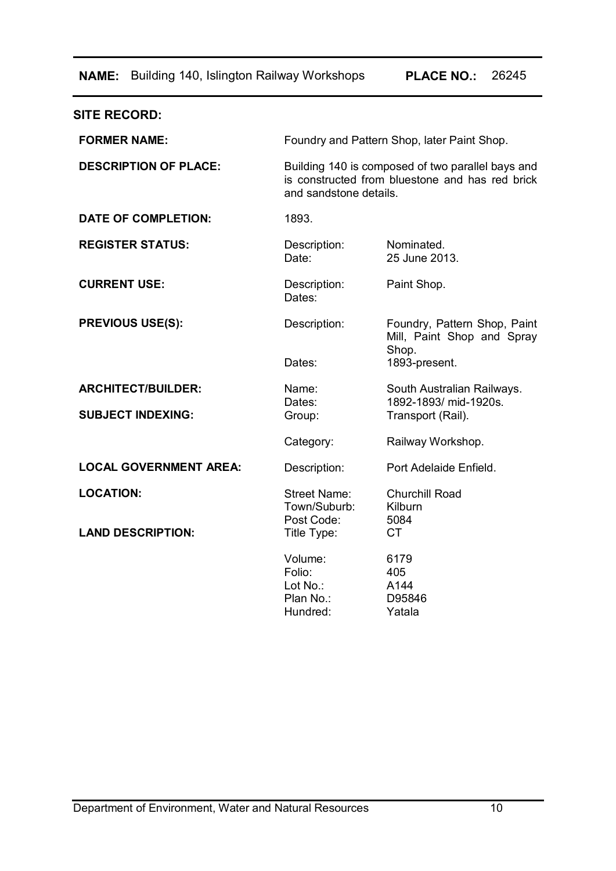**NAME:** Building 140, Islington Railway Workshops **PLACE NO.:** 26245

| <b>SITE RECORD:</b>           |                                                                                                                                |                                                                     |  |
|-------------------------------|--------------------------------------------------------------------------------------------------------------------------------|---------------------------------------------------------------------|--|
| <b>FORMER NAME:</b>           | Foundry and Pattern Shop, later Paint Shop.                                                                                    |                                                                     |  |
| <b>DESCRIPTION OF PLACE:</b>  | Building 140 is composed of two parallel bays and<br>is constructed from bluestone and has red brick<br>and sandstone details. |                                                                     |  |
| <b>DATE OF COMPLETION:</b>    | 1893.                                                                                                                          |                                                                     |  |
| <b>REGISTER STATUS:</b>       | Description:<br>Date:                                                                                                          | Nominated.<br>25 June 2013.                                         |  |
| <b>CURRENT USE:</b>           | Description:<br>Dates:                                                                                                         | Paint Shop.                                                         |  |
| <b>PREVIOUS USE(S):</b>       | Description:                                                                                                                   | Foundry, Pattern Shop, Paint<br>Mill, Paint Shop and Spray<br>Shop. |  |
|                               | Dates:                                                                                                                         | 1893-present.                                                       |  |
| <b>ARCHITECT/BUILDER:</b>     | Name:                                                                                                                          | South Australian Railways.<br>1892-1893/ mid-1920s.                 |  |
| <b>SUBJECT INDEXING:</b>      | Dates:<br>Group:                                                                                                               | Transport (Rail).                                                   |  |
|                               | Category:                                                                                                                      | Railway Workshop.                                                   |  |
| <b>LOCAL GOVERNMENT AREA:</b> | Description:                                                                                                                   | Port Adelaide Enfield.                                              |  |
| <b>LOCATION:</b>              | <b>Street Name:</b><br>Town/Suburb:<br>Post Code:                                                                              | <b>Churchill Road</b><br>Kilburn<br>5084                            |  |
| <b>LAND DESCRIPTION:</b>      | Title Type:                                                                                                                    | <b>CT</b>                                                           |  |
|                               | Volume:<br>Folio:<br>Lot No.:<br>Plan No.:<br>Hundred:                                                                         | 6179<br>405<br>A144<br>D95846<br>Yatala                             |  |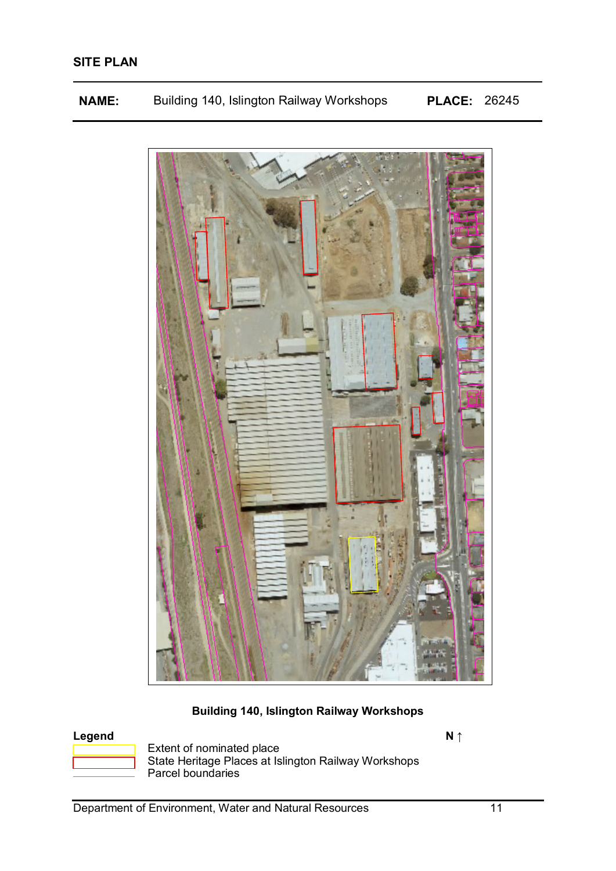| <b>NAME:</b> |  | Building 140, Islington Railway Workshops | <b>PLACE: 26245</b> |  |
|--------------|--|-------------------------------------------|---------------------|--|
|--------------|--|-------------------------------------------|---------------------|--|



# **Building 140, Islington Railway Workshops**



**Legend N ↑** Extent of nominated place State Heritage Places at Islington Railway Workshops Parcel boundaries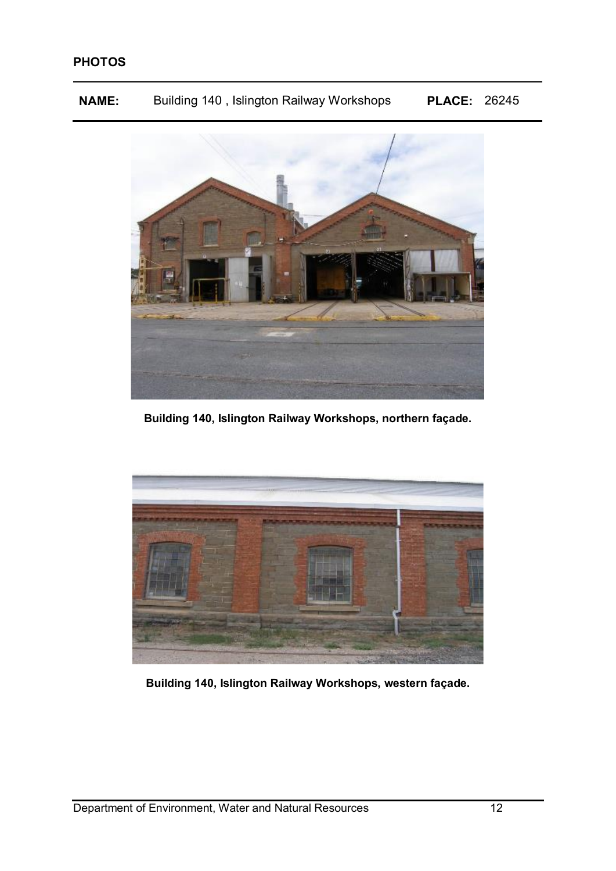**NAME:** Building 140 , Islington Railway Workshops **PLACE:** 26245



**Building 140, Islington Railway Workshops, northern façade.**



**Building 140, Islington Railway Workshops, western façade.**